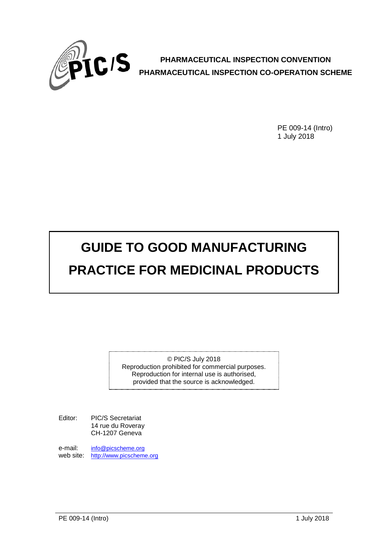

**PHARMACEUTICAL INSPECTION CONVENTION PHARMACEUTICAL INSPECTION CO-OPERATION SCHEME**

> PE 009-14 (Intro) 1 July 2018

# **GUIDE TO GOOD MANUFACTURING PRACTICE FOR MEDICINAL PRODUCTS**

© PIC/S July 2018 Reproduction prohibited for commercial purposes. Reproduction for internal use is authorised, provided that the source is acknowledged.

Editor: PIC/S Secretariat 14 rue du Roveray CH-1207 Geneva

e-mail: [info@picscheme.org](mailto:info@picscheme.org) web site: [http://www.picscheme.org](http://www.picscheme.org/)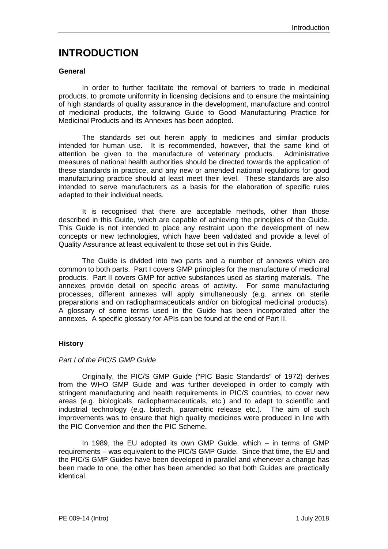### **INTRODUCTION**

#### **General**

In order to further facilitate the removal of barriers to trade in medicinal products, to promote uniformity in licensing decisions and to ensure the maintaining of high standards of quality assurance in the development, manufacture and control of medicinal products, the following Guide to Good Manufacturing Practice for Medicinal Products and its Annexes has been adopted.

The standards set out herein apply to medicines and similar products intended for human use. It is recommended, however, that the same kind of attention be given to the manufacture of veterinary products. Administrative measures of national health authorities should be directed towards the application of these standards in practice, and any new or amended national regulations for good manufacturing practice should at least meet their level. These standards are also intended to serve manufacturers as a basis for the elaboration of specific rules adapted to their individual needs.

It is recognised that there are acceptable methods, other than those described in this Guide, which are capable of achieving the principles of the Guide. This Guide is not intended to place any restraint upon the development of new concepts or new technologies, which have been validated and provide a level of Quality Assurance at least equivalent to those set out in this Guide.

The Guide is divided into two parts and a number of annexes which are common to both parts. Part I covers GMP principles for the manufacture of medicinal products. Part II covers GMP for active substances used as starting materials. The annexes provide detail on specific areas of activity. For some manufacturing processes, different annexes will apply simultaneously (e.g. annex on sterile preparations and on radiopharmaceuticals and/or on biological medicinal products). A glossary of some terms used in the Guide has been incorporated after the annexes. A specific glossary for APIs can be found at the end of Part II.

#### **History**

#### *Part I of the PIC/S GMP Guide*

Originally, the PIC/S GMP Guide ("PIC Basic Standards" of 1972) derives from the WHO GMP Guide and was further developed in order to comply with stringent manufacturing and health requirements in PIC/S countries, to cover new areas (e.g. biologicals, radiopharmaceuticals, etc.) and to adapt to scientific and industrial technology (e.g. biotech, parametric release etc.). The aim of such improvements was to ensure that high quality medicines were produced in line with the PIC Convention and then the PIC Scheme.

In 1989, the EU adopted its own GMP Guide, which – in terms of GMP requirements – was equivalent to the PIC/S GMP Guide. Since that time, the EU and the PIC/S GMP Guides have been developed in parallel and whenever a change has been made to one, the other has been amended so that both Guides are practically identical.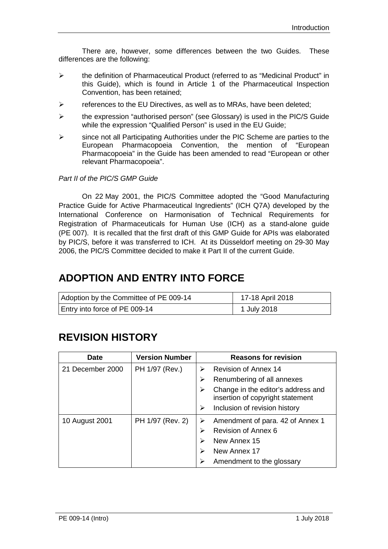There are, however, some differences between the two Guides. These differences are the following:

- the definition of Pharmaceutical Product (referred to as "Medicinal Product" in this Guide), which is found in Article 1 of the Pharmaceutical Inspection Convention, has been retained;
- $\triangleright$  references to the EU Directives, as well as to MRAs, have been deleted;
- $\triangleright$  the expression "authorised person" (see Glossary) is used in the PIC/S Guide while the expression "Qualified Person" is used in the EU Guide;
- $\triangleright$  since not all Participating Authorities under the PIC Scheme are parties to the European Pharmacopoeia Convention, the mention of "European Pharmacopoeia" in the Guide has been amended to read "European or other relevant Pharmacopoeia".

#### *Part II of the PIC/S GMP Guide*

On 22 May 2001, the PIC/S Committee adopted the "Good Manufacturing Practice Guide for Active Pharmaceutical Ingredients" (ICH Q7A) developed by the International Conference on Harmonisation of Technical Requirements for Registration of Pharmaceuticals for Human Use (ICH) as a stand-alone guide (PE 007). It is recalled that the first draft of this GMP Guide for APIs was elaborated by PIC/S, before it was transferred to ICH. At its Düsseldorf meeting on 29-30 May 2006, the PIC/S Committee decided to make it Part II of the current Guide.

## **ADOPTION AND ENTRY INTO FORCE**

| Adoption by the Committee of PE 009-14 | 17-18 April 2018 |
|----------------------------------------|------------------|
| Entry into force of PE 009-14          | 1 July 2018      |

## **REVISION HISTORY**

| <b>Date</b>      | <b>Version Number</b> | <b>Reasons for revision</b>                                                 |
|------------------|-----------------------|-----------------------------------------------------------------------------|
| 21 December 2000 | PH 1/97 (Rev.)        | <b>Revision of Annex 14</b><br>⋗                                            |
|                  |                       | Renumbering of all annexes<br>≻                                             |
|                  |                       | Change in the editor's address and<br>≻<br>insertion of copyright statement |
|                  |                       | Inclusion of revision history<br>⋗                                          |
| 10 August 2001   | PH 1/97 (Rev. 2)      | Amendment of para. 42 of Annex 1<br>⋗                                       |
|                  |                       | Revision of Annex 6<br>⋗                                                    |
|                  |                       | New Annex 15<br>⋗                                                           |
|                  |                       | New Annex 17                                                                |
|                  |                       | Amendment to the glossary                                                   |